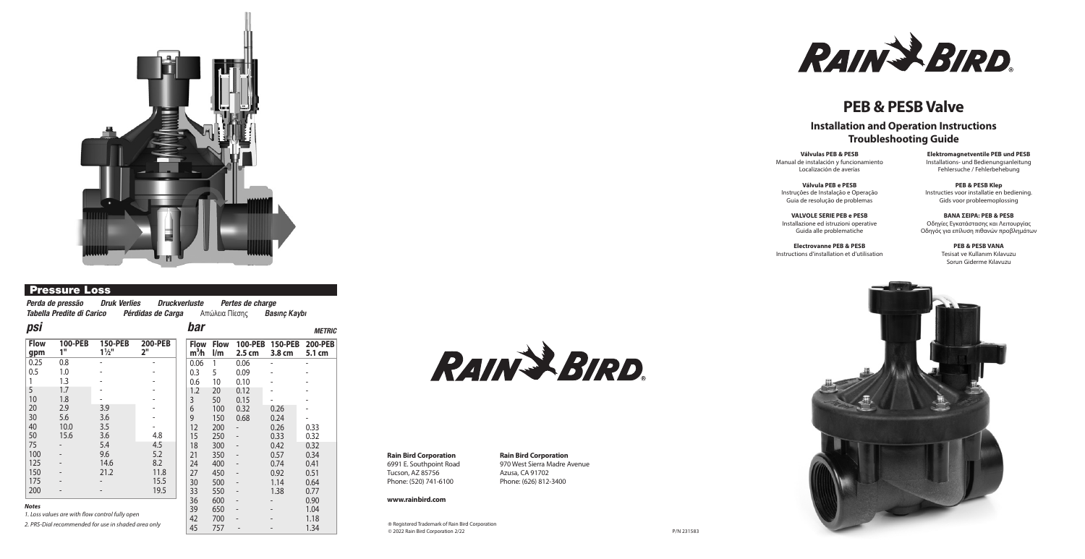RAIN & BIRD.

# **PEB & PESB Valve**

*Perda de pressão Druk Verlies Druckverluste Pertes de charge Tabella Predite di Carico Pérdidas de Carga Aπώλεια Πίεσης Basinç Kaybi* 

# **Installation and Operation Instructions Troubleshooting Guide**



## Pressure Loss

**Válvulas PEB & PESB** Manual de instalación y funcionamiento Localización de averías

**Válvula PEB e PESB**  Instruções de Instalação e Operação Guia de resolução de problemas

**VALVOLE SERIE PEB e PESB** Installazione ed istruzioni operative Guida alle problematiche

**Electrovanne PEB & PESB**  Instructions d'installation et d'utilisation



**Elektromagnetventile PEB und PESB** Installations- und Bedienungsanleitung Fehlersuche / Fehlerbehebung

**PEB & PESB Klep** Instructies voor installatie en bediening. Gids voor probleemoplossing

**BAΝΑ ΣΕΙΡΑ: PEB & PESB** Οδηγίες Εγκατάστασης και Λειτουργίας Οδηγός για επίλυση πιθανών προβλημάτων

> **PEB & PESB VANA** Tesisat ve Kullanım Kılavuzu Sorun Giderme Kılavuzu



# **Rain Bird Corporation**

6991 E. Southpoint Road Tucson, AZ 85756 Phone: (520) 741-6100

#### **www.rainbird.com**

#### **Rain Bird Corporation** 970 West Sierra Madre Avenue Azusa, CA 91702 Phone: (626) 812-3400

| psi                                                 |               |                                  |                      | bar                             |                                        |                                     |                          | <b>METRIC</b>            |
|-----------------------------------------------------|---------------|----------------------------------|----------------------|---------------------------------|----------------------------------------|-------------------------------------|--------------------------|--------------------------|
| <b>Flow</b><br>gpm                                  | 100-PEB<br>1" | <b>150-PEB</b><br>$1\frac{1}{2}$ | <b>200-PEB</b><br>2" | <b>Flow</b><br>m <sup>3</sup> h | <b>Flow</b><br>$\mathsf{I}/\mathsf{m}$ | <b>100-PEB</b><br>2.5 <sub>cm</sub> | <b>150-PEB</b><br>3.8 cm | <b>200-PEB</b><br>5.1 cm |
| 0.25                                                | 0.8           |                                  |                      | 0.06                            |                                        | 0.06                                |                          |                          |
| 0.5                                                 | 1.0           |                                  |                      | 0.3                             | 5                                      | 0.09                                |                          |                          |
|                                                     | 1.3           |                                  |                      | 0.6                             | 10                                     | 0.10                                |                          |                          |
| 5                                                   | 1.7           |                                  |                      | 1.2                             | 20                                     | 0.12                                |                          |                          |
| 10                                                  | 1.8           |                                  |                      | 3                               | 50                                     | 0.15                                |                          |                          |
| 20                                                  | 2.9           | 3.9                              |                      | 6                               | 100                                    | 0.32                                | 0.26                     |                          |
| 30                                                  | 5.6           | 3.6                              |                      | 9                               | 150                                    | 0.68                                | 0.24                     |                          |
| 40                                                  | 10.0          | 3.5                              |                      | 12                              | 200                                    |                                     | 0.26                     | 0.33                     |
| 50                                                  | 15.6          | 3.6                              | 4.8                  | 15                              | 250                                    | $\overline{\phantom{m}}$            | 0.33                     | 0.32                     |
| 75                                                  |               | 5.4                              | 4.5                  | 18                              | 300                                    | $\qquad \qquad \blacksquare$        | 0.42                     | 0.32                     |
| 100                                                 |               | 9.6                              | 5.2                  | 21                              | 350                                    | $\qquad \qquad -$                   | 0.57                     | 0.34                     |
| 125                                                 |               | 14.6                             | 8.2                  | 24                              | 400                                    |                                     | 0.74                     | 0.41                     |
| 150                                                 |               | 21.2                             | 11.8                 | 27                              | 450                                    |                                     | 0.92                     | 0.51                     |
| 175                                                 |               |                                  | 15.5                 | 30                              | 500                                    | $\overline{\phantom{m}}$            | 1.14                     | 0.64                     |
| 200                                                 |               |                                  | 19.5                 | 33                              | 550                                    | $\overline{\phantom{m}}$            | 1.38                     | 0.77                     |
|                                                     |               |                                  |                      | 36                              | 600                                    | $\overline{\phantom{m}}$            |                          | 0.90                     |
| <b>Notes</b>                                        |               |                                  |                      |                                 | 650                                    | $\overline{\phantom{m}}$            |                          | 1.04                     |
| 1. Loss values are with flow control fully open     |               |                                  |                      |                                 | 700                                    |                                     |                          | 1.18                     |
| 2. PRS-Dial recommended for use in shaded area only |               |                                  |                      | 45                              | 757                                    |                                     |                          | 1.34                     |



® Registered Trademark of Rain Bird Corporation © 2022 Rain Bird Corporation 2/22

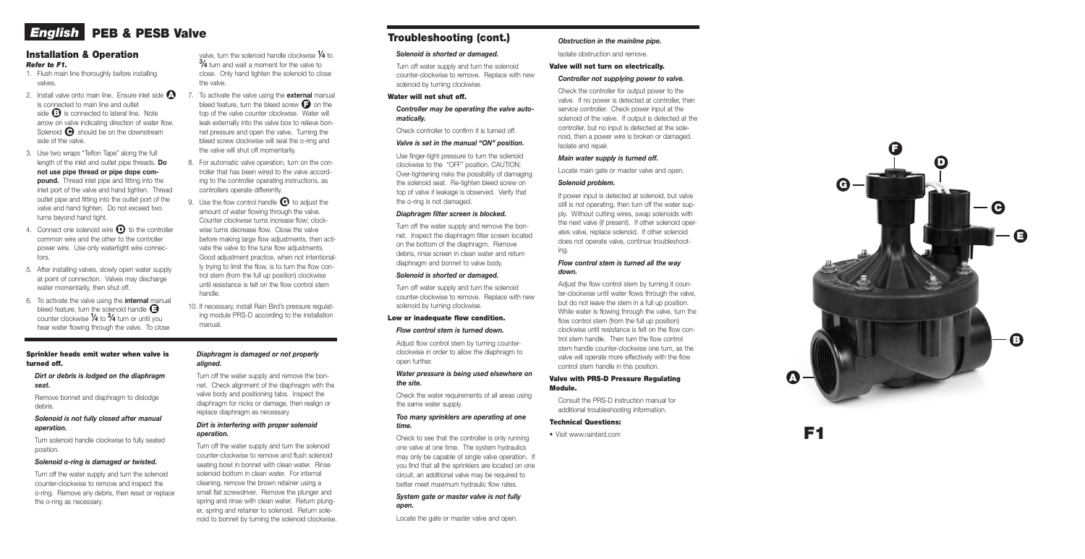## Installation & Operation *Refer to F1.*

- 1. Flush main line thoroughly before installing valves.
- 2. Install valve onto main line. Ensure inlet side  $\bullet$ is connected to main line and outlet side **+** is connected to lateral line. Note arrow on valve indicating direction of water flow. solenoid  $\bigodot$  should be on the downstream side of the valve.
- 3. Use two wraps "Teflon Tape" along the full length of the inlet and outlet pipe threads. Do not use pipe thread or pipe dope com pound. Thread inlet pipe and fitting into the inlet port of the valve and hand tighten. Thread outlet pipe and fitting into the outlet port of the valve and hand tighten. Do not exceed two turns beyond hand tight.
- 4. Connect one solenoid wire  $\bullet$  to the controller common wire and the other to the controller power wire. Use only watertight wire connec tors.
- 5. After installing valves, slowly open water supply at point of connection. Valves may discharge water momentarily, then shut off.
- 6. To activate the valve using the internal manual bleed feature, turn the solenoid handle  $\boldsymbol{\Theta}$ counter clockwise  $\frac{1}{4}$  to  $\frac{3}{4}$  turn or until you hear water flowing through the valve. To close

### valve, turn the solenoid handle clockwise  $\mathcal V$ 4 to  $3/4$  turn and wait a moment for the valve to close. Only hand tighten the solenoid to close the valve.

- 7. To activate the valve using the **external** manual bleed feature, turn the bleed screw  $\bigodot$  on the top of the valve counter clockwise. Water will leak externally into the valve box to relieve bon net pressure and open the valve. Turning the bleed screw clockwise will seal the o-ring and the valve will shut off momentarily.
- 8. For automatic valve operation, turn on the con troller that has been wired to the valve accord ing to the controller operating instructions, as controllers operate differently.
- 9. Use the flow control handle  $\bigoplus$  to adjust the amount of water flowing through the valve. Counter clockwise turns increase flow; clock wise turns decrease flow. Close the valve before making large flow adjustments, then acti vate the valve to fine tune flow adjustments. Good adjustment practice, when not intentional ly trying to limit the flow, is to turn the flow con trol stem (from the full up position) clockwise until resistance is felt on the flow control stem handle.
- 10. If necessary, install Rain Bird's pressure regulat ing module PRS-D according to the installation manual.

Adjust flow control stem by turning counterclockwise in order to allow the diaphragm to open further.



# *English* PEB & PESB Valve

# F1

#### Sprinkler heads emit water when valve is turned off.

#### *Dirt or debris is lodged on the diaphragm seat.*

Remove bonnet and diaphragm to dislodge debris.

### *Solenoid is not fully closed after manual operation.*

Turn solenoid handle clockwise to fully seated position.

## *Solenoid o-ring is damaged or twisted.*

Turn off the water supply and turn the solenoid counter-clockwise to remove and inspect the o-ring. Remove any debris, then reset or replace the o-ring as necessary.

#### *Diaphragm is damaged or not properly aligned.*

Turn off the water supply and remove the bon net. Check alignment of the diaphragm with the valve body and positioning tabs. Inspect the diaphragm for nicks or damage, then realign or replace diaphragm as necessary.

#### *Dirt is interfering with proper solenoid operation.*

Turn off the water supply and turn the solenoid counter-clockwise to remove and flush solenoid seating bowl in bonnet with clean water. Rinse solenoid bottom in clean water. For internal cleaning, remove the brown retainer using a small flat screwdriver. Remove the plunger and spring and rinse with clean water. Return plung er, spring and retainer to solenoid. Return sole noid to bonnet by turning the solenoid clockwise.

#### *Solenoid is shorted or damaged.*

Turn off water supply and turn the solenoid counter-clockwise to remove. Replace with new solenoid by turning clockwise.

## Water will not shut off.

#### *Controller may be operating the valve auto matically.*

Check controller to confirm it is turned off.

#### *Valve is set in the manual "ON" position.*

Use finger-tight pressure to turn the solenoid clockwise to the "OFF" position. CAUTION: Over-tightening risks the possibility of damaging the solenoid seat. Re-tighten bleed screw on top of valve if leakage is observed. Verify that the o-ring is not damaged.

#### *Diaphragm filter screen is blocked.*

Turn off the water supply and remove the bon net. Inspect the diaphragm filter screen located on the bottom of the diaphragm. Remove debris, rinse screen in clean water and return diaphragm and bonnet to valve body.

#### *Solenoid is shorted or damaged.*

Turn off water supply and turn the solenoid counter-clockwise to remove. Replace with new solenoid by turning clockwise.

#### Low or inadequate flow condition.

#### *Flow control stem is turned down.*

#### *Water pressure is being used elsewhere on the site.*

Check the water requirements of all areas using the same water supply.

### *Too many sprinklers are operating at one time.*

Check to see that the controller is only running one valve at one time. The system hydraulics may only be capable of single valve operation. If you find that all the sprinklers are located on one circuit, an additional valve may be required to better meet maximum hydraulic flow rates.

#### *System gate or master valve is not fully open.*

Locate the gate or master valve and open.

## *Obstruction in the mainline pipe.*

Isolate obstruction and remove.

### Valve will not turn on electrically.

#### *Controller not supplying power to valve.*

Check the controller for output power to the valve. If no power is detected at controller, then service controller. Check power input at the solenoid of the valve. If output is detected at the controller, but no input is detected at the sole noid, then a power wire is broken or damaged. Isolate and repair.

#### *Main water supply is turned off.*

Locate main gate or master valve and open.

#### *Solenoid problem.*

If power input is detected at solenoid, but valve still is not operating, then turn off the water sup ply. Without cutting wires, swap solenoids with the next valve (if present). If other solenoid oper ates valve, replace solenoid. If other solenoid does not operate valve, continue troubleshoot ing.

#### *Flow control stem is turned all the way down.*

Adjust the flow control stem by turning it coun ter-clockwise until water flows through the valve, but do not leave the stem in a full up position. While water is flowing through the valve, turn the flow control stem (from the full up position) clockwise until resistance is felt on the flow con trol stem handle. Then turn the flow control stem handle counter-clockwise one turn, as the valve will operate more effectively with the flow control stem handle in this position.

#### Valve with PRS-D Pressure Regulating Module.

Consult the PRS-D instruction manual for additional troubleshooting information.

#### Technical Questions:

• Visit www.rainbird.com

# Troubleshooting (cont.)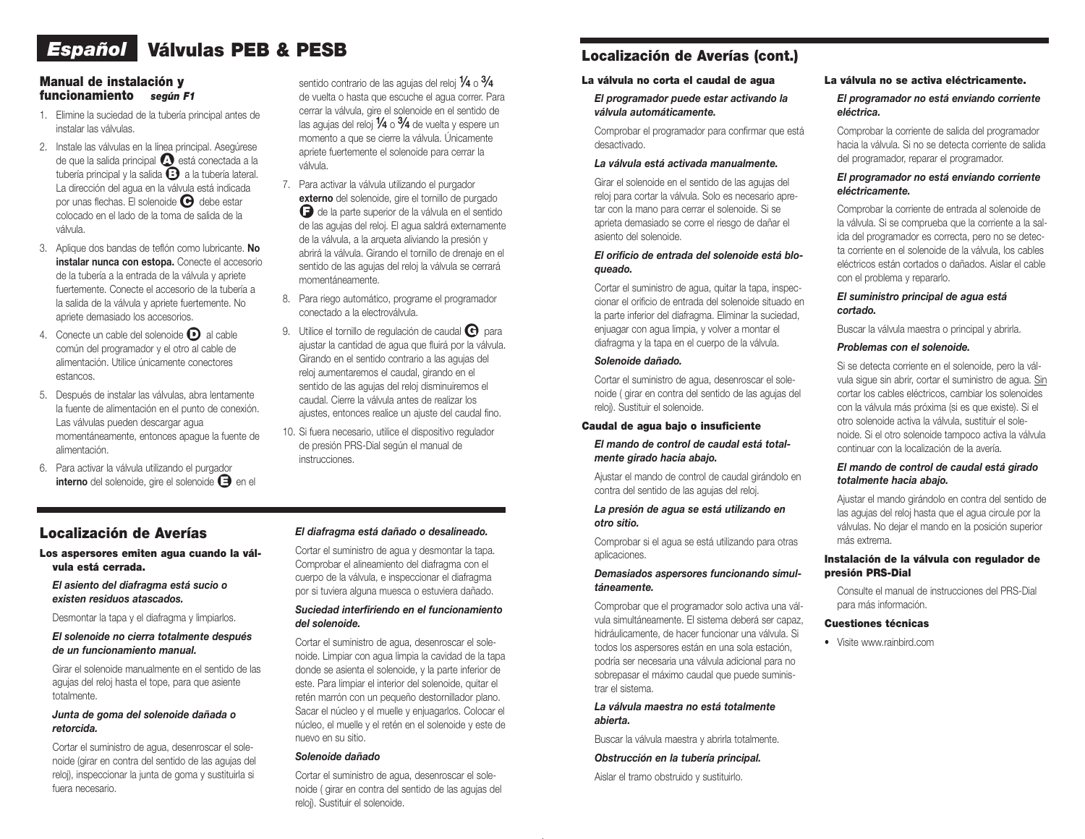# *Español* Válvulas PEB & PESB

## Manual de instalación y funcionamiento *según F1*

- 1. Elimine la suciedad de la tubería principal antes de instalar las válvulas.
- 2. Instale las válvulas en la línea principal. Asegúrese de que la salida principal  $\Omega$  está conectada a la tubería principal y la salida  $\bigodot$  a la tubería lateral. La dirección del agua en la válvula está indicada por unas flechas. El solenoide  $\Theta$  debe estar colocado en el lado de la toma de salida de la válvula.
- 3. Aplique dos bandas de teflón como lubricante. No instalar nunca con estopa. Conecte el accesorio de la tubería a la entrada de la válvula y apriete fuertemente. Conecte el accesorio de la tubería a la salida de la válvula y apriete fuertemente. No apriete demasiado los accesorios.
- 4. Conecte un cable del solenoide  $\bigcirc$  al cable común del programador y el otro al cable de alimentación. Utilice únicamente conectores estancos.
- 5. Después de instalar las válvulas, abra lentamente la fuente de alimentación en el punto de conexión. Las válvulas pueden descargar agua momentáneamente, entonces apague la fuente de alimentación.
- 6. Para activar la válvula utilizando el purgador interno del solenoide, gire el solenoide  $\bigoplus$  en el

sentido contrario de las agujas del reloj  $\%$  o  $\%$ de vuelta o hasta que escuche el agua correr. Para cerrar la válvula, gire el solenoide en el sentido de las agujas del reloj  $\frac{1}{4}$  o  $\frac{3}{4}$  de vuelta y espere un momento a que se cierre la válvula. Únicamente apriete fuertemente el solenoide para cerrar la válvula.

- 7. Para activar la válvula utilizando el purgador externo del solenoide, gire el tornillo de purgado **□** de la parte superior de la válvula en el sentido de las agujas del reloj. El agua saldrá externamente de la válvula, a la arqueta aliviando la presión y abrirá la válvula. Girando el tornillo de drenaje en el sentido de las agujas del reloj la válvula se cerrará momentáneamente.
- 8. Para riego automático, programe el programador conectado a la electroválvula.
- 9. Utilice el tornillo de regulación de caudal  $\bigoplus$  para ajustar la cantidad de agua que fluirá por la válvula. Girando en el sentido contrario a las agujas del reloj aumentaremos el caudal, girando en el sentido de las agujas del reloj disminuiremos el caudal. Cierre la válvula antes de realizar los ajustes, entonces realice un ajuste del caudal fino.
- 10. Si fuera necesario, utilice el dispositivo regulador de presión PRS-Dial según el manual de instrucciones.

## Localización de Averías

#### Los aspersores emiten agua cuando la válvula está cerrada.

*El asiento del diafragma está sucio o existen residuos atascados.*

Desmontar la tapa y el diafragma y limpiarlos.

#### *El solenoide no cierra totalmente después de un funcionamiento manual.*

Girar el solenoide manualmente en el sentido de las agujas del reloj hasta el tope, para que asiente totalmente.

#### *Junta de goma del solenoide dañada o retorcida.*

Cortar el suministro de agua, desenroscar el solenoide (girar en contra del sentido de las agujas del reloj), inspeccionar la junta de goma y sustituirla si fuera necesario.

#### *El diafragma está dañado o desalineado.*

Cortar el suministro de agua y desmontar la tapa. Comprobar el alineamiento del diafragma con el cuerpo de la válvula, e inspeccionar el diafragma por si tuviera alguna muesca o estuviera dañado.

#### *Suciedad interfiriendo en el funcionamiento del solenoide.*

Cortar el suministro de agua, desenroscar el solenoide. Limpiar con agua limpia la cavidad de la tapa donde se asienta el solenoide, y la parte inferior de este. Para limpiar el interior del solenoide, quitar el retén marrón con un pequeño destornillador plano. Sacar el núcleo y el muelle y enjuagarlos. Colocar el núcleo, el muelle y el retén en el solenoide y este de nuevo en su sitio.

#### *Solenoide dañado*

Cortar el suministro de agua, desenroscar el solenoide ( girar en contra del sentido de las agujas del reloj). Sustituir el solenoide.

# Localización de Averías (cont.)

#### La válvula no corta el caudal de agua

## *El programador puede estar activando la válvula automáticamente.*

Comprobar el programador para confirmar que está desactivado.

#### *La válvula está activada manualmente.*

Girar el solenoide en el sentido de las agujas del reloj para cortar la válvula. Solo es necesario apretar con la mano para cerrar el solenoide. Si se aprieta demasiado se corre el riesgo de dañar el asiento del solenoide.

#### *El orificio de entrada del solenoide está bloqueado.*

Cortar el suministro de agua, quitar la tapa, inspeccionar el orificio de entrada del solenoide situado en la parte inferior del diafragma. Eliminar la suciedad, enjuagar con agua limpia, y volver a montar el diafragma y la tapa en el cuerpo de la válvula.

#### *Solenoide dañado.*

Cortar el suministro de agua, desenroscar el solenoide ( girar en contra del sentido de las agujas del reloj). Sustituir el solenoide.

#### Caudal de agua bajo o insuficiente

#### *El mando de control de caudal está totalmente girado hacia abajo.*

Ajustar el mando de control de caudal girándolo en contra del sentido de las agujas del reloj.

#### *La presión de agua se está utilizando en otro sitio.*

Comprobar si el agua se está utilizando para otras aplicaciones.

#### *Demasiados aspersores funcionando simultáneamente.*

Comprobar que el programador solo activa una válvula simultáneamente. El sistema deberá ser capaz, hidráulicamente, de hacer funcionar una válvula. Si todos los aspersores están en una sola estación, podría ser necesaria una válvula adicional para no sobrepasar el máximo caudal que puede suministrar el sistema.

#### *La válvula maestra no está totalmente abierta.*

Buscar la válvula maestra y abrirla totalmente.

#### *Obstrucción en la tubería principal.*

Aislar el tramo obstruido y sustituirlo.

#### La válvula no se activa eléctricamente.

#### *El programador no está enviando corriente eléctrica.*

Comprobar la corriente de salida del programador hacia la válvula. Si no se detecta corriente de salida del programador, reparar el programador.

#### *El programador no está enviando corriente eléctricamente.*

Comprobar la corriente de entrada al solenoide de la válvula. Si se comprueba que la corriente a la salida del programador es correcta, pero no se detecta corriente en el solenoide de la válvula, los cables eléctricos están cortados o dañados. Aislar el cable con el problema y repararlo.

#### *El suministro principal de agua está cortado.*

Buscar la válvula maestra o principal y abrirla.

#### *Problemas con el solenoide.*

Si se detecta corriente en el solenoide, pero la válvula sigue sin abrir, cortar el suministro de agua. Sin cortar los cables eléctricos, cambiar los solenoides con la válvula más próxima (si es que existe). Si el otro solenoide activa la válvula, sustituir el solenoide. Si el otro solenoide tampoco activa la válvula continuar con la localización de la avería.

#### *El mando de control de caudal está girado totalmente hacia abajo.*

Ajustar el mando girándolo en contra del sentido de las agujas del reloj hasta que el agua circule por la válvulas. No dejar el mando en la posición superior más extrema.

#### Instalación de la válvula con regulador de presión PRS-Dial

Consulte el manual de instrucciones del PRS-Dial para más información.

#### Cuestiones técnicas

• Visite www.rainbird.com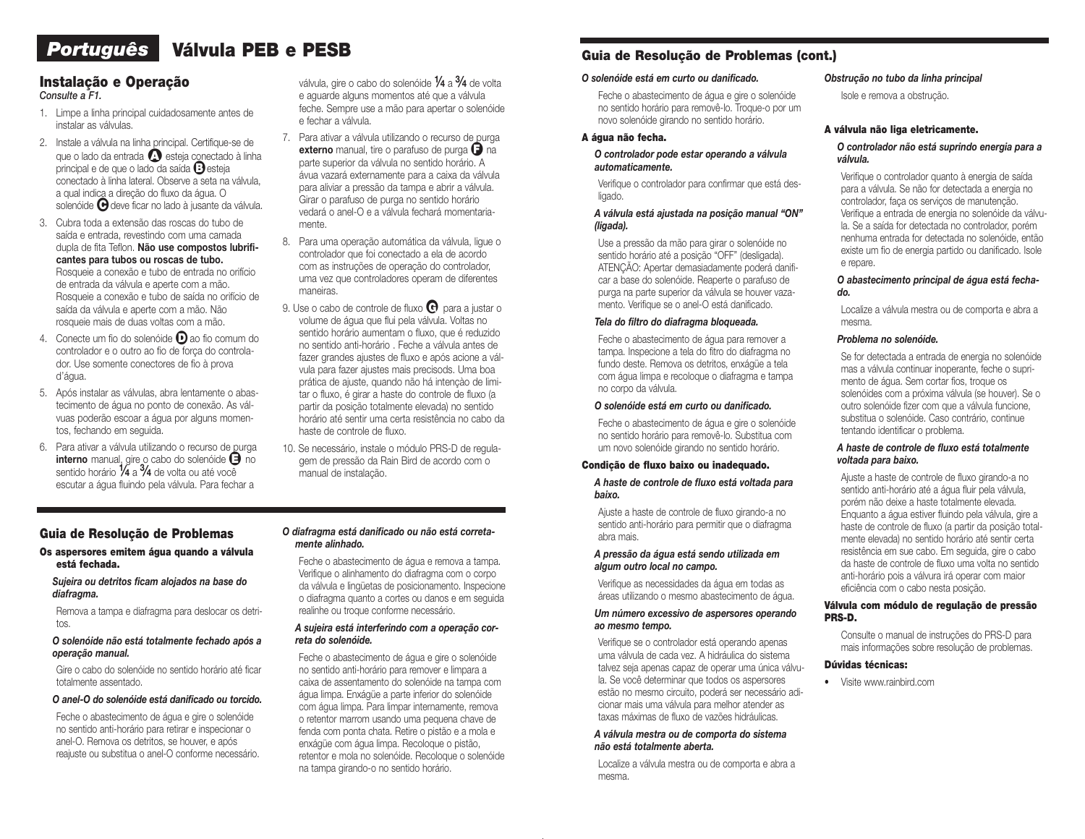# *Português* Válvula PEB e PESB

# Instalação e Operação

*Consulte a F1.*

- 1. Limpe a linha principal cuidadosamente antes de instalar as válvulas.
- 2. Instale a válvula na linha principal. Certifique-se de que o lado da entrada  $\Omega$  esteja conectado à linha principal e de que o lado da saída **B**esteja conectado à linha lateral. Observe a seta na válvula, a qual indica a direção do fluxo da água. O solenóide <sup>o</sup> deve ficar no lado à jusante da válvula.
- 3. Cubra toda a extensão das roscas do tubo de saída e entrada, revestindo com uma camada dupla de fita Teflon. Não use compostos lubrificantes para tubos ou roscas de tubo. Rosqueie a conexão e tubo de entrada no orifício de entrada da válvula e aperte com a mão. Rosqueie a conexão e tubo de saída no orifício de saída da válvula e aperte com a mão. Não rosqueie mais de duas voltas com a mão.
- 4. Conecte um fio do solenóide  $\Box$  ao fio comum do controlador e o outro ao fio de força do controlador. Use somente conectores de fio à prova d'água.
- 5. Após instalar as válvulas, abra lentamente o abastecimento de água no ponto de conexão. As válvuas poderão escoar a água por alguns momentos, fechando em seguida.
- 6. Para ativar a válvula utilizando o recurso de purga  $interno$  manual, gire o cabo do solenóide  $\Box$  no sentido horário  $\frac{1}{4}$  a  $\frac{3}{4}$  de volta ou até você escutar a água fluindo pela válvula. Para fechar a

válvula, gire o cabo do solenóide  $\frac{1}{4}$  a  $\frac{3}{4}$  de volta e aguarde alguns momentos até que a válvula feche. Sempre use a mão para apertar o solenóide e fechar a válvula.

- 7. Para ativar a válvula utilizando o recurso de purga externo manual, tire o parafuso de purga  $\bigcap$  na parte superior da válvula no sentido horário. A ávua vazará externamente para a caixa da válvula para aliviar a pressão da tampa e abrir a válvula. Girar o parafuso de purga no sentido horário vedará o anel-O e a válvula fechará momentariamente.
- 8. Para uma operação automática da válvula, ligue o controlador que foi conectado a ela de acordo com as instruções de operação do controlador, uma vez que controladores operam de diferentes maneiras.
- 9. Use o cabo de controle de fluxo  $\Theta$  para a justar o volume de água que flui pela válvula. Voltas no sentido horário aumentam o fluxo, que é reduzido no sentido anti-horário . Feche a válvula antes de fazer grandes ajustes de fluxo e após acione a válvula para fazer ajustes mais precisods. Uma boa prática de ajuste, quando não há intençào de limitar o fluxo, é girar a haste do controle de fluxo (a partir da posição totalmente elevada) no sentido horário até sentir uma certa resistência no cabo da haste de controle de fluxo.
- 10. Se necessário, instale o módulo PRS-D de regulagem de pressão da Rain Bird de acordo com o manual de instalação.

#### Guia de Resolução de Problemas

#### Os aspersores emitem água quando a válvula está fechada.

#### *Sujeira ou detritos ficam alojados na base do diafragma.*

Remova a tampa e diafragma para deslocar os detritos.

#### *O solenóide não está totalmente fechado após a operação manual.*

Gire o cabo do solenóide no sentido horário até ficar totalmente assentado.

#### *O anel-O do solenóide está danificado ou torcido.*

Feche o abastecimento de água e gire o solenóide no sentido anti-horário para retirar e inspecionar o anel-O. Remova os detritos, se houver, e após reajuste ou substitua o anel-O conforme necessário.

#### *O diafragma está danificado ou não está corretamente alinhado.*

Feche o abastecimento de água e remova a tampa. Verifique o alinhamento do diafragma com o corpo da válvula e lingüetas de posicionamento. Inspecione o diafragma quanto a cortes ou danos e em seguida realinhe ou troque conforme necessário.

#### *A sujeira está interferindo com a operação correta do solenóide.*

Feche o abastecimento de água e gire o solenóide no sentido anti-horário para remover e limpara a caixa de assentamento do solenóide na tampa com água limpa. Enxágüe a parte inferior do solenóide com água limpa. Para limpar internamente, remova o retentor marrom usando uma pequena chave de fenda com ponta chata. Retire o pistão e a mola e enxágüe com água limpa. Recoloque o pistão, retentor e mola no solenóide. Recoloque o solenóide na tampa girando-o no sentido horário.

## Guia de Resolução de Problemas (cont.)

#### *O solenóide está em curto ou danificado.*

Feche o abastecimento de água e gire o solenóide no sentido horário para removê-lo. Troque-o por um novo solenóide girando no sentido horário.

#### A água não fecha.

#### *O controlador pode estar operando a válvula automaticamente.*

Verifique o controlador para confirmar que está desligado.

#### *A válvula está ajustada na posição manual "ON" (ligada).*

Use a pressão da mão para girar o solenóide no sentido horário até a posição "OFF" (desligada). ATENÇÃO: Apertar demasiadamente poderá danificar a base do solenóide. Reaperte o parafuso de purga na parte superior da válvula se houver vazamento. Verifique se o anel-O está danificado.

#### *Tela do filtro do diafragma bloqueada.*

Feche o abastecimento de água para remover a tampa. Inspecione a tela do fitro do diafragma no fundo deste. Remova os detritos, enxágüe a tela com água limpa e recoloque o diafragma e tampa no corpo da válvula.

#### *O solenóide está em curto ou danificado.*

Feche o abastecimento de água e gire o solenóide no sentido horário para removê-lo. Substitua com um novo solenóide girando no sentido horário.

#### Condição de fluxo baixo ou inadequado.

*A haste de controle de fluxo está voltada para baixo.*

Ajuste a haste de controle de fluxo girando-a no sentido anti-horário para permitir que o diafragma abra mais.

#### *A pressão da água está sendo utilizada em algum outro local no campo.*

Verifique as necessidades da água em todas as áreas utilizando o mesmo abastecimento de água.

#### *Um número excessivo de aspersores operando ao mesmo tempo.*

Verifique se o controlador está operando apenas uma válvula de cada vez. A hidráulica do sistema talvez seja apenas capaz de operar uma única válvula. Se você determinar que todos os aspersores estão no mesmo circuito, poderá ser necessário adicionar mais uma válvula para melhor atender as taxas máximas de fluxo de vazões hidráulicas.

#### *A válvula mestra ou de comporta do sistema não está totalmente aberta.*

Localize a válvula mestra ou de comporta e abra a mesma.

#### *Obstrução no tubo da linha principal*

Isole e remova a obstrução.

#### A válvula não liga eletricamente.

#### *O controlador não está suprindo energia para a válvula.*

Verifique o controlador quanto à energia de saída para a válvula. Se não for detectada a energia no controlador, faça os serviços de manutenção. Verifique a entrada de energia no solenóide da válvula. Se a saída for detectada no controlador, porém nenhuma entrada for detectada no solenóide, então existe um fio de energia partido ou danificado. Isole e repare.

#### *O abastecimento principal de água está fechado.*

Localize a válvula mestra ou de comporta e abra a mesma.

#### *Problema no solenóide.*

Se for detectada a entrada de energia no solenóide mas a válvula continuar inoperante, feche o suprimento de água. Sem cortar fios, troque os solenóides com a próxima válvula (se houver). Se o outro solenóide fizer com que a válvula funcione, substitua o solenóide. Caso contrário, continue tentando identificar o problema.

#### *A haste de controle de fluxo está totalmente voltada para baixo.*

Ajuste a haste de controle de fluxo girando-a no sentido anti-horário até a água fluir pela válvula, porém não deixe a haste totalmente elevada. Enquanto a água estiver fluindo pela válvula, gire a haste de controle de fluxo (a partir da posição totalmente elevada) no sentido horário até sentir certa resistência em sue cabo. Em seguida, gire o cabo da haste de controle de fluxo uma volta no sentido anti-horário pois a válvura irá operar com maior eficiência com o cabo nesta posição.

#### Válvula com módulo de regulação de pressão PRS-D.

Consulte o manual de instruções do PRS-D para mais informações sobre resolução de problemas.

#### Dúvidas técnicas:

• Visite www.rainbird.com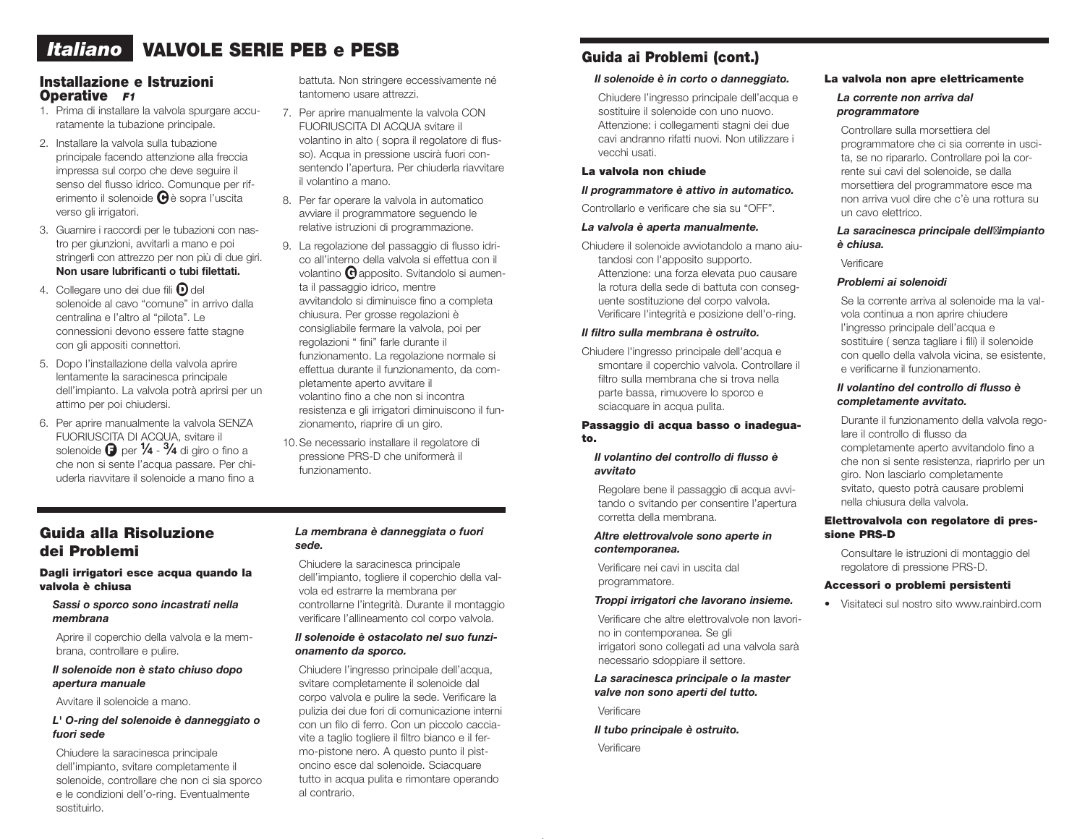# *Italiano* VALVOLE SERIE PEB e PESB

## Installazione e Istruzioni Operative *F1*

- 1. Prima di installare la valvola spurgare accuratamente la tubazione principale.
- 2. Installare la valvola sulla tubazione principale facendo attenzione alla freccia impressa sul corpo che deve seguire il senso del flusso idrico. Comunque per riferimento il solenoide  $\Theta$ è sopra l'uscita verso gli irrigatori.
- 3. Guarnire i raccordi per le tubazioni con nastro per giunzioni, avvitarli a mano e poi stringerli con attrezzo per non più di due giri. Non usare lubrificanti o tubi filettati.
- 4. Collegare uno dei due fili  $\mathbf D$  del solenoide al cavo "comune" in arrivo dalla centralina e l'altro al "pilota". Le connessioni devono essere fatte stagne con gli appositi connettori.
- 5. Dopo l'installazione della valvola aprire lentamente la saracinesca principale dell'impianto. La valvola potrà aprirsi per un attimo per poi chiudersi.
- 6. Per aprire manualmente la valvola SENZA FUORIUSCITA DI ACQUA, svitare il solenoide  $\bigoplus$  per  $\frac{1}{4}$  -  $\frac{3}{4}$  di giro o fino a che non si sente l'acqua passare. Per chiuderla riavvitare il solenoide a mano fino a

battuta. Non stringere eccessivamente né tantomeno usare attrezzi.

- 7. Per aprire manualmente la valvola CON FUORIUSCITA DI ACQUA svitare il volantino in alto ( sopra il regolatore di flusso). Acqua in pressione uscirà fuori consentendo l'apertura. Per chiuderla riavvitare il volantino a mano.
- 8. Per far operare la valvola in automatico avviare il programmatore seguendo le relative istruzioni di programmazione.
- 9. La regolazione del passaggio di flusso idrico all'interno della valvola si effettua con il volantino  $\Theta$  apposito. Svitandolo si aumenta il passaggio idrico, mentre avvitandolo si diminuisce fino a completa chiusura. Per grosse regolazioni è consigliabile fermare la valvola, poi per regolazioni " fini" farle durante il funzionamento. La regolazione normale si effettua durante il funzionamento, da completamente aperto avvitare il volantino fino a che non si incontra resistenza e gli irrigatori diminuiscono il funzionamento, riaprire di un giro.
- 10.Se necessario installare il regolatore di pressione PRS-D che uniformerà il funzionamento.

## Guida alla Risoluzione dei Problemi

#### Dagli irrigatori esce acqua quando la valvola è chiusa

*Sassi o sporco sono incastrati nella membrana*

Aprire il coperchio della valvola e la membrana, controllare e pulire.

#### *Il solenoide non è stato chiuso dopo apertura manuale*

Avvitare il solenoide a mano.

#### *L' O-ring del solenoide è danneggiato o fuori sede*

Chiudere la saracinesca principale dell'impianto, svitare completamente il solenoide, controllare che non ci sia sporco e le condizioni dell'o-ring. Eventualmente sostituirlo.

#### *La membrana è danneggiata o fuori sede.*

Chiudere la saracinesca principale dell'impianto, togliere il coperchio della valvola ed estrarre la membrana per controllarne l'integrità. Durante il montaggio verificare l'allineamento col corpo valvola.

#### *Il solenoide è ostacolato nel suo funzionamento da sporco.*

Chiudere l'ingresso principale dell'acqua, svitare completamente il solenoide dal corpo valvola e pulire la sede. Verificare la pulizia dei due fori di comunicazione interni con un filo di ferro. Con un piccolo cacciavite a taglio togliere il filtro bianco e il fermo-pistone nero. A questo punto il pistoncino esce dal solenoide. Sciacquare tutto in acqua pulita e rimontare operando al contrario.

# Guida ai Problemi (cont.)

### *Il solenoide è in corto o danneggiato.*

Chiudere l'ingresso principale dell'acqua e sostituire il solenoide con uno nuovo. Attenzione: i collegamenti stagni dei due cavi andranno rifatti nuovi. Non utilizzare i vecchi usati.

#### La valvola non chiude

#### *Il programmatore è attivo in automatico.*

Controllarlo e verificare che sia su "OFF".

#### *La valvola è aperta manualmente.*

Chiudere il solenoide avviotandolo a mano aiutandosi con l'apposito supporto. Attenzione: una forza elevata puo causare la rotura della sede di battuta con conseguente sostituzione del corpo valvola. Verificare l'integrità e posizione dell'o-ring.

#### *Il filtro sulla membrana è ostruito.*

Chiudere l'ingresso principale dell'acqua e smontare il coperchio valvola. Controllare il filtro sulla membrana che si trova nella parte bassa, rimuovere lo sporco e sciacquare in acqua pulita.

## Passaggio di acqua basso o inadeguato.

#### *Il volantino del controllo di flusso è avvitato*

Regolare bene il passaggio di acqua avvitando o svitando per consentire l'apertura corretta della membrana.

#### *Altre elettrovalvole sono aperte in contemporanea.*

Verificare nei cavi in uscita dal programmatore.

#### *Troppi irrigatori che lavorano insieme.*

Verificare che altre elettrovalvole non lavorino in contemporanea. Se gli irrigatori sono collegati ad una valvola sarà necessario sdoppiare il settore.

*La saracinesca principale o la master valve non sono aperti del tutto.*

Verificare

*Il tubo principale è ostruito.*

Verificare

#### La valvola non apre elettricamente

#### *La corrente non arriva dal programmatore*

Controllare sulla morsettiera del programmatore che ci sia corrente in uscita, se no ripararlo. Controllare poi la corrente sui cavi del solenoide, se dalla morsettiera del programmatore esce ma non arriva vuol dire che c'è una rottura su un cavo elettrico.

#### *La saracinesca principale dell'impianto è chiusa.*

Verificare

#### *Problemi ai solenoidi*

Se la corrente arriva al solenoide ma la valvola continua a non aprire chiudere l'ingresso principale dell'acqua e sostituire ( senza tagliare i fili) il solenoide con quello della valvola vicina, se esistente, e verificarne il funzionamento.

## *Il volantino del controllo di flusso è completamente avvitato.*

Durante il funzionamento della valvola regolare il controllo di flusso da completamente aperto avvitandolo fino a che non si sente resistenza, riaprirlo per un giro. Non lasciarlo completamente svitato, questo potrà causare problemi nella chiusura della valvola.

#### Elettrovalvola con regolatore di pressione PRS-D

Consultare le istruzioni di montaggio del regolatore di pressione PRS-D.

#### Accessori o problemi persistenti

• Visitateci sul nostro sito www.rainbird.com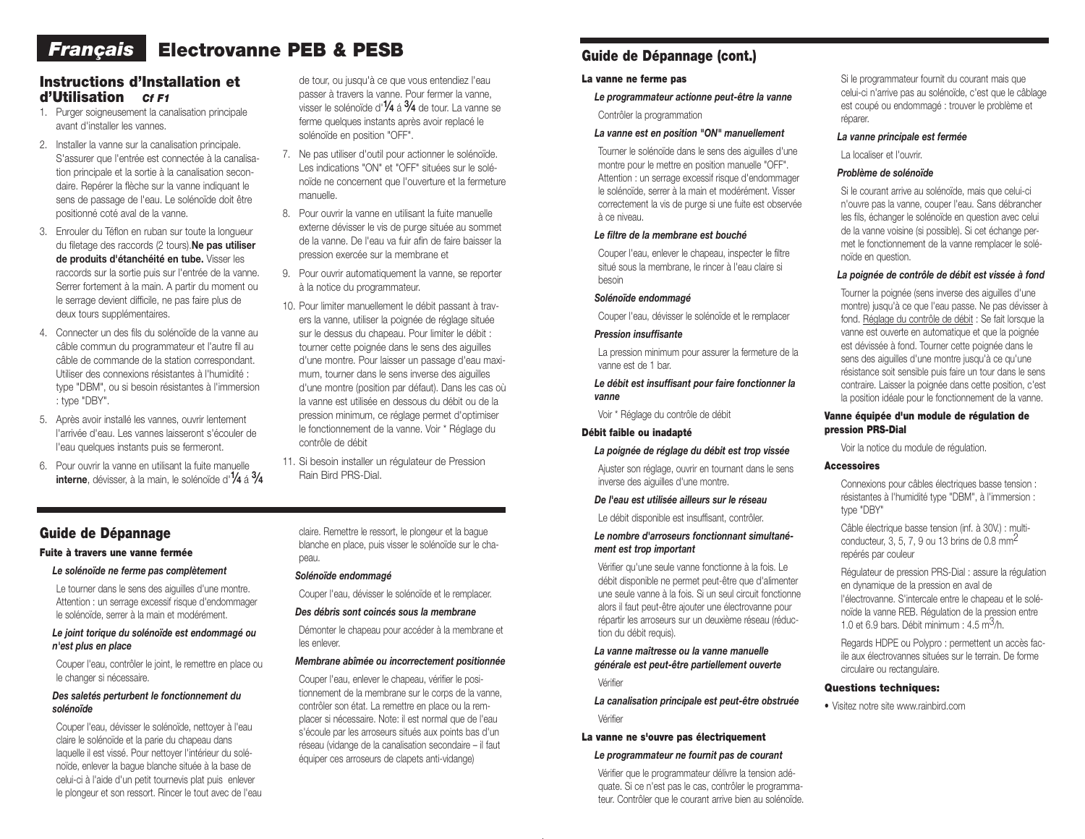# **Français** Electrovanne PEB & PESB

## Instructions d'Installation et d'Utilisation *Cf F1*

- 1. Purger soigneusement la canalisation principale avant d'installer les vannes.
- 2. Installer la vanne sur la canalisation principale. S'assurer que l'entrée est connectée à la canalisation principale et la sortie à la canalisation secondaire. Repérer la flèche sur la vanne indiquant le sens de passage de l'eau. Le solénoïde doit être positionné coté aval de la vanne.
- 3. Enrouler du Téflon en ruban sur toute la longueur du filetage des raccords (2 tours). Ne pas utiliser de produits d'étanchéité en tube. Visser les raccords sur la sortie puis sur l'entrée de la vanne. Serrer fortement à la main. A partir du moment ou le serrage devient difficile, ne pas faire plus de deux tours supplémentaires.
- 4. Connecter un des fils du solénoïde de la vanne au câble commun du programmateur et l'autre fil au câble de commande de la station correspondant. Utiliser des connexions résistantes à l'humidité : type "DBM", ou si besoin résistantes à l'immersion : type "DBY".
- 5. Après avoir installé les vannes, ouvrir lentement l'arrivée d'eau. Les vannes laisseront s'écouler de l'eau quelques instants puis se fermeront.
- 6. Pour ouvrir la vanne en utilisant la fuite manuelle **interne**, dévisser, à la main, le solénoïde d'1⁄4 á <sup>3</sup>/4

de tour, ou jusqu'à ce que vous entendiez l'eau passer à travers la vanne. Pour fermer la vanne, visser le solénoïde d' $\frac{1}{4}$  á  $\frac{3}{4}$  de tour. La vanne se ferme quelques instants après avoir replacé le solénoïde en position "OFF".

- 7. Ne pas utiliser d'outil pour actionner le solénoïde. Les indications "ON" et "OFF" situées sur le solénoïde ne concernent que l'ouverture et la fermeture manuelle.
- 8. Pour ouvrir la vanne en utilisant la fuite manuelle externe dévisser le vis de purge située au sommet de la vanne. De l'eau va fuir afin de faire baisser la pression exercée sur la membrane et
- 9. Pour ouvrir automatiquement la vanne, se reporter à la notice du programmateur.
- 10. Pour limiter manuellement le débit passant à travers la vanne, utiliser la poignée de réglage située sur le dessus du chapeau. Pour limiter le débit : tourner cette poignée dans le sens des aiguilles d'une montre. Pour laisser un passage d'eau maximum, tourner dans le sens inverse des aiguilles d'une montre (position par défaut). Dans les cas où la vanne est utilisée en dessous du débit ou de la pression minimum, ce réglage permet d'optimiser le fonctionnement de la vanne. Voir \* Réglage du contrôle de débit
- 11. Si besoin installer un régulateur de Pression Rain Bird PRS-Dial.

## Guide de Dépannage

#### Fuite à travers une vanne fermée

#### *Le solénoïde ne ferme pas complètement*

Le tourner dans le sens des aiguilles d'une montre. Attention : un serrage excessif risque d'endommager le solénoïde, serrer à la main et modérément.

#### *Le joint torique du solénoïde est endommagé ou n'est plus en place*

Couper l'eau, contrôler le joint, le remettre en place ou le changer si nécessaire.

#### *Des saletés perturbent le fonctionnement du solénoïde*

Couper l'eau, dévisser le solénoïde, nettoyer à l'eau claire le solénoïde et la parie du chapeau dans laquelle il est vissé. Pour nettoyer l'intérieur du solénoïde, enlever la bague blanche située à la base de celui-ci à l'aide d'un petit tournevis plat puis enlever le plongeur et son ressort. Rincer le tout avec de l'eau

claire. Remettre le ressort, le plongeur et la bague blanche en place, puis visser le solénoïde sur le chapeau.

#### *Solénoïde endommagé*

Couper l'eau, dévisser le solénoïde et le remplacer.

#### *Des débris sont coincés sous la membrane*

Démonter le chapeau pour accéder à la membrane et les enlever.

## *Membrane abîmée ou incorrectement positionnée*

Couper l'eau, enlever le chapeau, vérifier le positionnement de la membrane sur le corps de la vanne, contrôler son état. La remettre en place ou la remplacer si nécessaire. Note: il est normal que de l'eau s'écoule par les arroseurs situés aux points bas d'un réseau (vidange de la canalisation secondaire – il faut équiper ces arroseurs de clapets anti-vidange)

## Guide de Dépannage (cont.)

#### La vanne ne ferme pas

*Le programmateur actionne peut-être la vanne* Contrôler la programmation

#### *La vanne est en position "ON" manuellement*

Tourner le solénoïde dans le sens des aiguilles d'une montre pour le mettre en position manuelle "OFF". Attention : un serrage excessif risque d'endommager le solénoïde, serrer à la main et modérément. Visser correctement la vis de purge si une fuite est observée à ce niveau.

#### *Le filtre de la membrane est bouché*

Couper l'eau, enlever le chapeau, inspecter le filtre situé sous la membrane, le rincer à l'eau claire si besoin

#### *Solénoïde endommagé*

Couper l'eau, dévisser le solénoïde et le remplacer

#### *Pression insuffisante*

La pression minimum pour assurer la fermeture de la vanne est de 1 bar.

#### *Le débit est insuffisant pour faire fonctionner la vanne*

Voir \* Réglage du contrôle de débit

### Débit faible ou inadapté

#### *La poignée de réglage du débit est trop vissée*

Ajuster son réglage, ouvrir en tournant dans le sens inverse des aiguilles d'une montre.

#### *De l'eau est utilisée ailleurs sur le réseau*

Le débit disponible est insuffisant, contrôler.

#### *Le nombre d'arroseurs fonctionnant simultanément est trop important*

Vérifier qu'une seule vanne fonctionne à la fois. Le débit disponible ne permet peut-être que d'alimenter une seule vanne à la fois. Si un seul circuit fonctionne alors il faut peut-être ajouter une électrovanne pour répartir les arroseurs sur un deuxième réseau (réduction du débit requis).

*La vanne maîtresse ou la vanne manuelle générale est peut-être partiellement ouverte* Vérifier

*La canalisation principale est peut-être obstruée* Vérifier

#### La vanne ne s'ouvre pas électriquement

## *Le programmateur ne fournit pas de courant*

Vérifier que le programmateur délivre la tension adéquate. Si ce n'est pas le cas, contrôler le programmateur. Contrôler que le courant arrive bien au solénoïde. Si le programmateur fournit du courant mais que celui-ci n'arrive pas au solénoïde, c'est que le câblage est coupé ou endommagé : trouver le problème et réparer.

#### *La vanne principale est fermée*

La localiser et l'ouvrir.

#### *Problème de solénoïde*

Si le courant arrive au solénoïde, mais que celui-ci n'ouvre pas la vanne, couper l'eau. Sans débrancher les fils, échanger le solénoïde en question avec celui de la vanne voisine (si possible). Si cet échange permet le fonctionnement de la vanne remplacer le solénoïde en question.

#### *La poignée de contrôle de débit est vissée à fond*

Tourner la poignée (sens inverse des aiguilles d'une montre) jusqu'à ce que l'eau passe. Ne pas dévisser à fond. Réglage du contrôle de débit : Se fait lorsque la vanne est ouverte en automatique et que la poignée est dévissée à fond. Tourner cette poignée dans le sens des aiguilles d'une montre jusqu'à ce qu'une résistance soit sensible puis faire un tour dans le sens contraire. Laisser la poignée dans cette position, c'est la position idéale pour le fonctionnement de la vanne.

#### Vanne équipée d'un module de régulation de pression PRS-Dial

Voir la notice du module de régulation.

#### Accessoires

Connexions pour câbles électriques basse tension : résistantes à l'humidité type "DBM", à l'immersion : type "DBY"

Câble électrique basse tension (inf. à 30V.) : multiconducteur, 3, 5, 7, 9 ou 13 brins de  $0.8 \text{ mm}^2$ repérés par couleur

Régulateur de pression PRS-Dial : assure la régulation en dynamique de la pression en aval de l'électrovanne. S'intercale entre le chapeau et le solénoïde la vanne REB. Régulation de la pression entre 1.0 et 6.9 bars. Débit minimum :  $4.5 \text{ m}^3/h$ .

Regards HDPE ou Polypro : permettent un accès facile aux électrovannes situées sur le terrain. De forme circulaire ou rectangulaire.

#### Questions techniques:

• Visitez notre site www.rainbird.com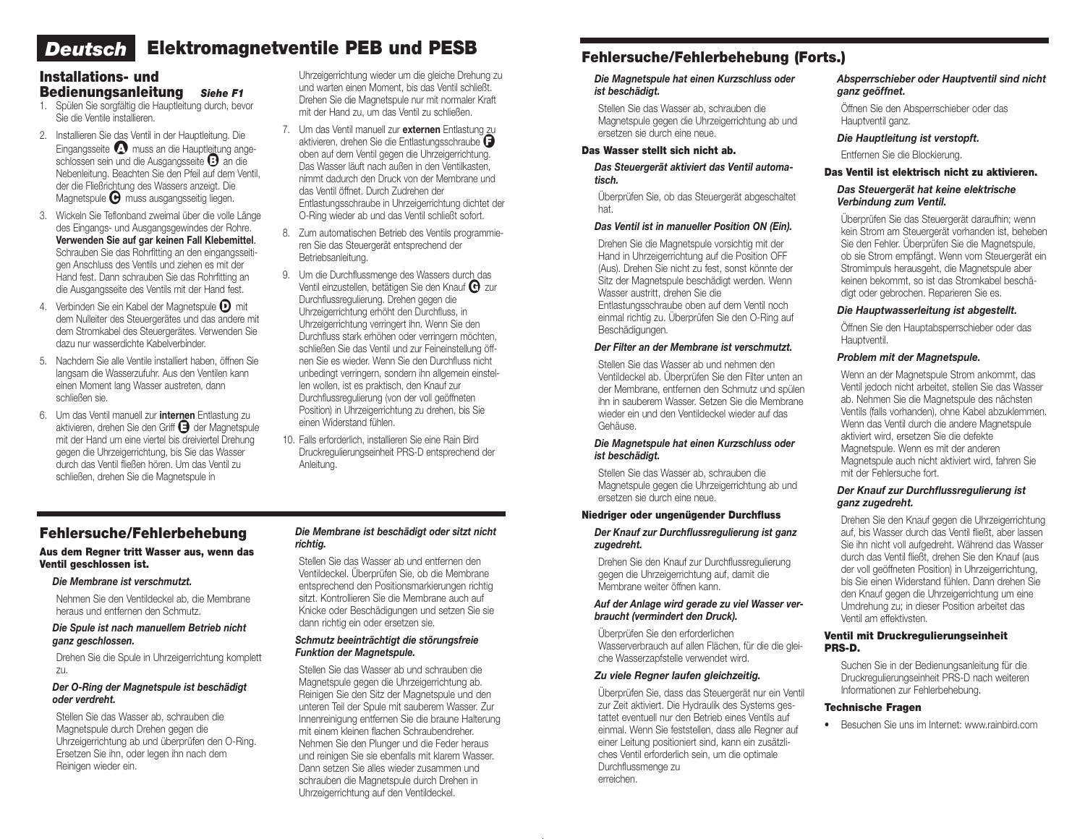# *Deutsch* Elektromagnetventile PEB und PESB

## Installations- und Bedienungsanleitung *Siehe F1*

- 1. Spülen Sie sorgfältig die Hauptleitung durch, bevor Sie die Ventile installieren.
- 2. Installieren Sie das Ventil in der Hauptleitung. Die Eingangsseite <a>
M</a>
muss an die Hauptleitung angeschlossen sein und die Ausgangsseite <sup>B</sup>an die Nebenleitung. Beachten Sie den Pfeil auf dem Ventil, der die Fließrichtung des Wassers anzeigt. Die Magnetspule  $\Theta$  muss ausgangsseitig liegen.
- 3. Wickeln Sie Teflonband zweimal über die volle Länge des Eingangs- und Ausgangsgewindes der Rohre. Verwenden Sie auf gar keinen Fall Klebemittel. Schrauben Sie das Rohrfitting an den eingangsseitigen Anschluss des Ventils und ziehen es mit der Hand fest. Dann schrauben Sie das Rohrfitting an die Ausgangsseite des Ventils mit der Hand fest.
- 4. Verbinden Sie ein Kabel der Magnetspule  $\mathbf D$  mit dem Nulleiter des Steuergerätes und das andere mit dem Stromkabel des Steuergerätes. Verwenden Sie dazu nur wasserdichte Kabelverbinder.
- 5. Nachdem Sie alle Ventile installiert haben, öffnen Sie langsam die Wasserzufuhr. Aus den Ventilen kann einen Moment lang Wasser austreten, dann schließen sie.
- 6. Um das Ventil manuell zur internen Entlastung zu aktivieren, drehen Sie den Griff **+ der Magnetspule** mit der Hand um eine viertel bis dreiviertel Drehung gegen die Uhrzeigerrichtung, bis Sie das Wasser durch das Ventil fließen hören. Um das Ventil zu schließen, drehen Sie die Magnetspule in

Uhrzeigerrichtung wieder um die gleiche Drehung zu und warten einen Moment, bis das Ventil schließt. Drehen Sie die Magnetspule nur mit normaler Kraft mit der Hand zu, um das Ventil zu schließen.

- 7. Um das Ventil manuell zur externen Entlastung zu aktivieren, drehen Sie die Entlastungsschraube  $\bigoplus$ oben auf dem Ventil gegen die Uhrzeigerrichtung. Das Wasser läuft nach außen in den Ventilkasten, nimmt dadurch den Druck von der Membrane und das Ventil öffnet. Durch Zudrehen der Entlastungsschraube in Uhrzeigerrichtung dichtet der O-Ring wieder ab und das Ventil schließt sofort.
- 8. Zum automatischen Betrieb des Ventils programmieren Sie das Steuergerät entsprechend der Betriebsanleitung.
- 9. Um die Durchflussmenge des Wassers durch das Ventil einzustellen, betätigen Sie den Knauf  $\Theta$  zur Durchflussregulierung. Drehen gegen die Uhrzeigerrichtung erhöht den Durchfluss, in Uhrzeigerrichtung verringert ihn. Wenn Sie den Durchfluss stark erhöhen oder verringern möchten, schließen Sie das Ventil und zur Feineinstellung öffnen Sie es wieder. Wenn Sie den Durchfluss nicht unbedingt verringern, sondern ihn allgemein einstellen wollen, ist es praktisch, den Knauf zur Durchflussregulierung (von der voll geöffneten Position) in Uhrzeigerrichtung zu drehen, bis Sie einen Widerstand fühlen.
- 10. Falls erforderlich, installieren Sie eine Rain Bird Druckregulierungseinheit PRS-D entsprechend der Anleitung.

## Fehlersuche/Fehlerbehebung

#### Aus dem Regner tritt Wasser aus, wenn das Ventil geschlossen ist.

#### *Die Membrane ist verschmutzt.*

Nehmen Sie den Ventildeckel ab, die Membrane heraus und entfernen den Schmutz.

#### *Die Spule ist nach manuellem Betrieb nicht ganz geschlossen.*

Drehen Sie die Spule in Uhrzeigerrichtung komplett zu.

## *Der O-Ring der Magnetspule ist beschädigt oder verdreht.*

Stellen Sie das Wasser ab, schrauben die Magnetspule durch Drehen gegen die Uhrzeigerrichtung ab und überprüfen den O-Ring. Ersetzen Sie ihn, oder legen ihn nach dem Reinigen wieder ein.

#### *Die Membrane ist beschädigt oder sitzt nicht richtig.*

Stellen Sie das Wasser ab und entfernen den Ventildeckel. Überprüfen Sie, ob die Membrane entsprechend den Positionsmarkierungen richtig sitzt. Kontrollieren Sie die Membrane auch auf Knicke oder Beschädigungen und setzen Sie sie dann richtig ein oder ersetzen sie.

#### *Schmutz beeinträchtigt die störungsfreie Funktion der Magnetspule.*

Stellen Sie das Wasser ab und schrauben die Magnetspule gegen die Uhrzeigerrichtung ab. Reinigen Sie den Sitz der Magnetspule und den unteren Teil der Spule mit sauberem Wasser. Zur Innenreinigung entfernen Sie die braune Halterung mit einem kleinen flachen Schraubendreher. Nehmen Sie den Plunger und die Feder heraus und reinigen Sie sie ebenfalls mit klarem Wasser. Dann setzen Sie alles wieder zusammen und schrauben die Magnetspule durch Drehen in Uhrzeigerrichtung auf den Ventildeckel.

# Fehlersuche/Fehlerbehebung (Forts.)

#### *Die Magnetspule hat einen Kurzschluss oder ist beschädigt.*

Stellen Sie das Wasser ab, schrauben die Magnetspule gegen die Uhrzeigerrichtung ab und ersetzen sie durch eine neue.

## Das Wasser stellt sich nicht ab.

#### *Das Steuergerät aktiviert das Ventil automatisch.*

Überprüfen Sie, ob das Steuergerät abgeschaltet hat.

## *Das Ventil ist in manueller Position ON (Ein).*

Drehen Sie die Magnetspule vorsichtig mit der Hand in Uhrzeigerrichtung auf die Position OFF (Aus). Drehen Sie nicht zu fest, sonst könnte der Sitz der Magnetspule beschädigt werden. Wenn Wasser austritt, drehen Sie die Entlastungsschraube oben auf dem Ventil noch einmal richtig zu. Überprüfen Sie den O-Ring auf Beschädigungen.

## *Der Filter an der Membrane ist verschmutzt.*

Stellen Sie das Wasser ab und nehmen den Ventildeckel ab. Überprüfen Sie den Filter unten an der Membrane, entfernen den Schmutz und spülen ihn in sauberem Wasser. Setzen Sie die Membrane wieder ein und den Ventildeckel wieder auf das Gehäuse.

#### *Die Magnetspule hat einen Kurzschluss oder ist beschädigt.*

Stellen Sie das Wasser ab, schrauben die Magnetspule gegen die Uhrzeigerrichtung ab und ersetzen sie durch eine neue.

## Niedriger oder ungenügender Durchfluss

#### *Der Knauf zur Durchflussregulierung ist ganz zugedreht.*

Drehen Sie den Knauf zur Durchflussregulierung gegen die Uhrzeigerrichtung auf, damit die Membrane weiter öffnen kann.

#### *Auf der Anlage wird gerade zu viel Wasser verbraucht (vermindert den Druck).*

Überprüfen Sie den erforderlichen Wasserverbrauch auf allen Flächen, für die die gleiche Wasserzapfstelle verwendet wird.

#### *Zu viele Regner laufen gleichzeitig.*

Überprüfen Sie, dass das Steuergerät nur ein Ventil zur Zeit aktiviert. Die Hydraulik des Systems gestattet eventuell nur den Betrieb eines Ventils auf einmal. Wenn Sie feststellen, dass alle Regner auf einer Leitung positioniert sind, kann ein zusätzliches Ventil erforderlich sein, um die optimale Durchflussmenge zu erreichen.

## *Absperrschieber oder Hauptventil sind nicht ganz geöffnet.*

Öffnen Sie den Absperrschieber oder das Hauptventil ganz.

## *Die Hauptleitung ist verstopft.*

Entfernen Sie die Blockierung.

#### Das Ventil ist elektrisch nicht zu aktivieren.

#### *Das Steuergerät hat keine elektrische Verbindung zum Ventil.*

Überprüfen Sie das Steuergerät daraufhin; wenn kein Strom am Steuergerät vorhanden ist, beheben Sie den Fehler. Überprüfen Sie die Magnetspule, ob sie Strom empfängt. Wenn vom Steuergerät ein Stromimpuls herausgeht, die Magnetspule aber keinen bekommt, so ist das Stromkabel beschädigt oder gebrochen. Reparieren Sie es.

## *Die Hauptwasserleitung ist abgestellt.*

Öffnen Sie den Hauptabsperrschieber oder das Hauptventil.

## *Problem mit der Magnetspule.*

Wenn an der Magnetspule Strom ankommt, das Ventil jedoch nicht arbeitet, stellen Sie das Wasser ab. Nehmen Sie die Magnetspule des nächsten Ventils (falls vorhanden), ohne Kabel abzuklemmen. Wenn das Ventil durch die andere Magnetspule aktiviert wird, ersetzen Sie die defekte Magnetspule. Wenn es mit der anderen Magnetspule auch nicht aktiviert wird, fahren Sie mit der Fehlersuche fort.

#### *Der Knauf zur Durchflussregulierung ist ganz zugedreht.*

Drehen Sie den Knauf gegen die Uhrzeigerrichtung auf, bis Wasser durch das Ventil fließt, aber lassen Sie ihn nicht voll aufgedreht. Während das Wasser durch das Ventil fließt, drehen Sie den Knauf (aus der voll geöffneten Position) in Uhrzeigerrichtung, bis Sie einen Widerstand fühlen. Dann drehen Sie den Knauf gegen die Uhrzeigerrichtung um eine Umdrehung zu; in dieser Position arbeitet das Ventil am effektivsten.

#### Ventil mit Druckregulierungseinheit PRS-D.

Suchen Sie in der Bedienungsanleitung für die Druckregulierungseinheit PRS-D nach weiteren Informationen zur Fehlerbehebung.

#### Technische Fragen

• Besuchen Sie uns im Internet: www.rainbird.com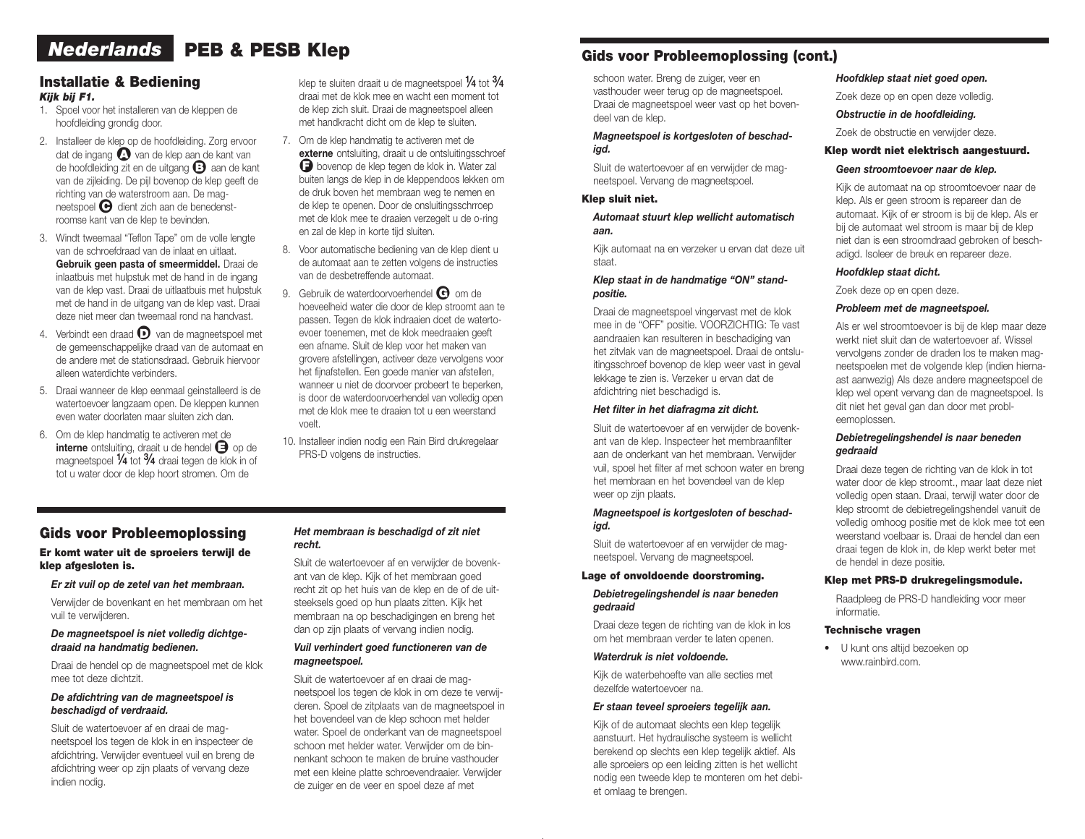# *Nederlands* PEB & PESB Klep

## Installatie & Bediening *Kijk bij F1.*

- 1. Spoel voor het installeren van de kleppen de hoofdleiding grondig door.
- 2. Installeer de klep op de hoofdleiding. Zorg ervoor dat de ingang  $\Omega$  van de klep aan de kant van de hoofdleiding zit en de uitgang <sup>1</sup> aan de kant van de zijleiding. De pijl bovenop de klep geeft de richting van de waterstroom aan. De magneetspoel  $\Theta$  dient zich aan de benedenstroomse kant van de klep te bevinden.
- 3. Windt tweemaal "Teflon Tape" om de volle lengte van de schroefdraad van de inlaat en uitlaat. Gebruik geen pasta of smeermiddel. Draai de inlaatbuis met hulpstuk met de hand in de ingang van de klep vast. Draai de uitlaatbuis met hulpstuk met de hand in de uitgang van de klep vast. Draai deze niet meer dan tweemaal rond na handvast.
- 4. Verbindt een draad  $\bullet$  van de magneetspoel met de gemeenschappelijke draad van de automaat en de andere met de stationsdraad. Gebruik hiervoor alleen waterdichte verbinders.
- 5. Draai wanneer de klep eenmaal geinstalleerd is de watertoevoer langzaam open. De kleppen kunnen even water doorlaten maar sluiten zich dan.
- 6. Om de klep handmatig te activeren met de interne ontsluiting, draait u de hendel  $\bigoplus$  op de magneetspoel 1/4 tot 3/4 draai tegen de klok in of tot u water door de klep hoort stromen. Om de

klep te sluiten draait u de magneetspoel  $\%$  tot  $\frac{3}{4}$ draai met de klok mee en wacht een moment tot de klep zich sluit. Draai de magneetspoel alleen met handkracht dicht om de klep te sluiten.

- 7. Om de klep handmatig te activeren met de externe ontsluiting, draait u de ontsluitingsschroef **□** bovenop de klep tegen de klok in. Water zal buiten langs de klep in de kleppendoos lekken om de druk boven het membraan weg te nemen en de klep te openen. Door de onsluitingsschrroep met de klok mee te draaien verzegelt u de o-ring en zal de klep in korte tijd sluiten.
- 8. Voor automatische bediening van de klep dient u de automaat aan te zetten volgens de instructies van de desbetreffende automaat.
- 9. Gebruik de waterdoorvoerhendel  $\bigodot$  om de hoeveelheid water die door de klep stroomt aan te passen. Tegen de klok indraaien doet de watertoevoer toenemen, met de klok meedraaien geeft een afname. Sluit de klep voor het maken van grovere afstellingen, activeer deze vervolgens voor het fijnafstellen. Een goede manier van afstellen, wanneer u niet de doorvoer probeert te beperken, is door de waterdoorvoerhendel van volledig open met de klok mee te draaien tot u een weerstand voelt.
- 10. Installeer indien nodig een Rain Bird drukregelaar PRS-D volgens de instructies.

# Gids voor Probleemoplossing

#### Er komt water uit de sproeiers terwijl de klep afgesloten is.

#### *Er zit vuil op de zetel van het membraan.*

Verwijder de bovenkant en het membraan om het vuil te verwijderen.

#### *De magneetspoel is niet volledig dichtgedraaid na handmatig bedienen.*

Draai de hendel op de magneetspoel met de klok mee tot deze dichtzit.

#### *De afdichtring van de magneetspoel is beschadigd of verdraaid.*

Sluit de watertoevoer af en draai de magneetspoel los tegen de klok in en inspecteer de afdichtring. Verwijder eventueel vuil en breng de afdichtring weer op zijn plaats of vervang deze indien nodig.

#### *Het membraan is beschadigd of zit niet recht.*

Sluit de watertoevoer af en verwijder de bovenkant van de klep. Kijk of het membraan goed recht zit op het huis van de klep en de of de uitsteeksels goed op hun plaats zitten. Kijk het membraan na op beschadigingen en breng het dan op zijn plaats of vervang indien nodig.

#### *Vuil verhindert goed functioneren van de magneetspoel.*

Sluit de watertoevoer af en draai de magneetspoel los tegen de klok in om deze te verwijderen. Spoel de zitplaats van de magneetspoel in het bovendeel van de klep schoon met helder water. Spoel de onderkant van de magneetspoel schoon met helder water. Verwijder om de binnenkant schoon te maken de bruine vasthouder met een kleine platte schroevendraaier. Verwijder de zuiger en de veer en spoel deze af met

# Gids voor Probleemoplossing (cont.)

schoon water. Breng de zuiger, veer en vasthouder weer terug op de magneetspoel. Draai de magneetspoel weer vast op het bovendeel van de klep.

#### *Magneetspoel is kortgesloten of beschadigd.*

Sluit de watertoevoer af en verwijder de magneetspoel. Vervang de magneetspoel.

#### Klep sluit niet.

#### *Automaat stuurt klep wellicht automatisch aan.*

Kijk automaat na en verzeker u ervan dat deze uit staat.

#### *Klep staat in de handmatige "ON" standpositie.*

Draai de magneetspoel vingervast met de klok mee in de "OFF" positie. VOORZICHTIG: Te vast aandraaien kan resulteren in beschadiging van het zitvlak van de magneetspoel. Draai de ontsluitingsschroef bovenop de klep weer vast in geval lekkage te zien is. Verzeker u ervan dat de afdichtring niet beschadigd is.

#### *Het filter in het diafragma zit dicht.*

Sluit de watertoevoer af en verwijder de bovenkant van de klep. Inspecteer het membraanfilter aan de onderkant van het membraan. Verwijder vuil, spoel het filter af met schoon water en breng het membraan en het bovendeel van de klep weer op zijn plaats.

#### *Magneetspoel is kortgesloten of beschadigd.*

Sluit de watertoevoer af en verwijder de magneetspoel. Vervang de magneetspoel.

#### Lage of onvoldoende doorstroming.

#### *Debietregelingshendel is naar beneden gedraaid*

Draai deze tegen de richting van de klok in los om het membraan verder te laten openen.

#### *Waterdruk is niet voldoende.*

Kijk de waterbehoefte van alle secties met dezelfde watertoevoer na.

#### *Er staan teveel sproeiers tegelijk aan.*

Kijk of de automaat slechts een klep tegelijk aanstuurt. Het hydraulische systeem is wellicht berekend op slechts een klep tegelijk aktief. Als alle sproeiers op een leiding zitten is het wellicht nodig een tweede klep te monteren om het debiet omlaag te brengen.

#### *Hoofdklep staat niet goed open.*

Zoek deze op en open deze volledig.

#### *Obstructie in de hoofdleiding.*

Zoek de obstructie en verwijder deze.

#### Klep wordt niet elektrisch aangestuurd.

#### *Geen stroomtoevoer naar de klep.*

Kijk de automaat na op stroomtoevoer naar de klep. Als er geen stroom is repareer dan de automaat. Kijk of er stroom is bij de klep. Als er bij de automaat wel stroom is maar bij de klep niet dan is een stroomdraad gebroken of beschadigd. Isoleer de breuk en repareer deze.

### *Hoofdklep staat dicht.*

Zoek deze op en open deze.

#### *Probleem met de magneetspoel.*

Als er wel stroomtoevoer is bij de klep maar deze werkt niet sluit dan de watertoevoer af. Wissel vervolgens zonder de draden los te maken magneetspoelen met de volgende klep (indien hiernaast aanwezig) Als deze andere magneetspoel de klep wel opent vervang dan de magneetspoel. Is dit niet het geval gan dan door met probleemoplossen.

#### *Debietregelingshendel is naar beneden gedraaid*

Draai deze tegen de richting van de klok in tot water door de klep stroomt., maar laat deze niet volledig open staan. Draai, terwijl water door de klep stroomt de debietregelingshendel vanuit de volledig omhoog positie met de klok mee tot een weerstand voelbaar is. Draai de hendel dan een draai tegen de klok in, de klep werkt beter met de hendel in deze positie.

#### Klep met PRS-D drukregelingsmodule.

Raadpleeg de PRS-D handleiding voor meer informatie.

#### Technische vragen

• U kunt ons altijd bezoeken op www.rainbird.com.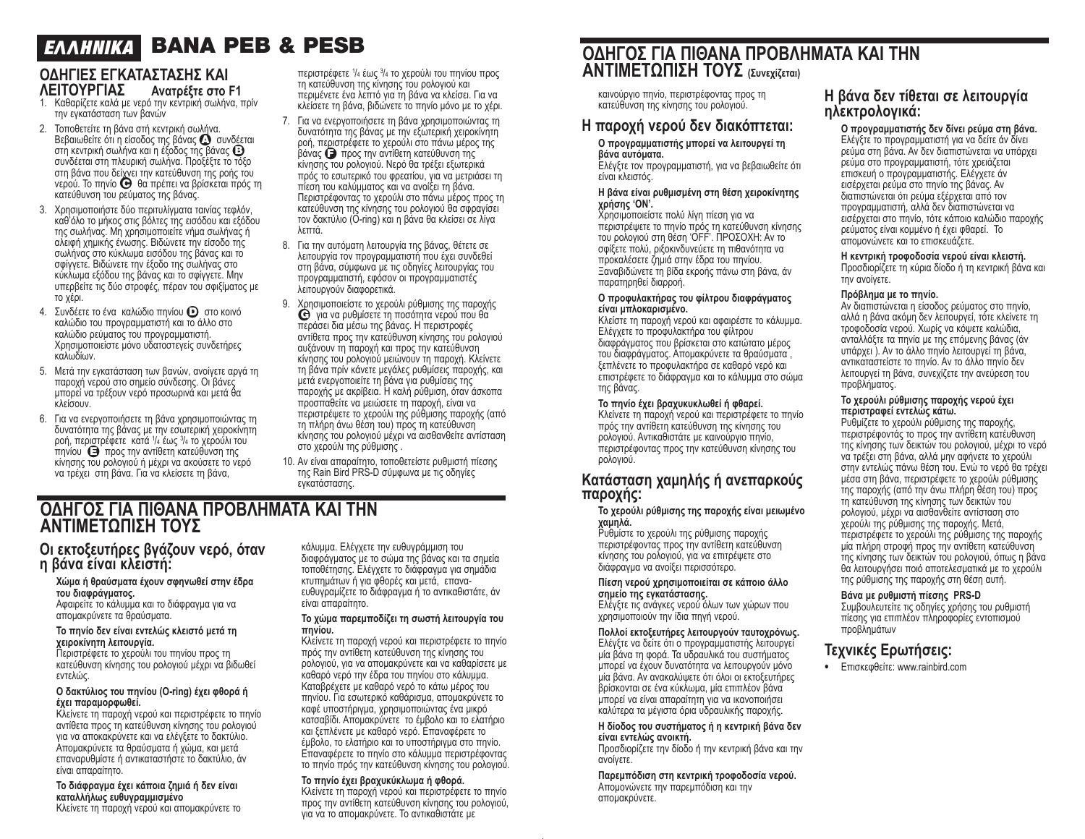# BANA PEB & PESB *E ^^HNIKA*

## **ΟΔΗΓΙΕΣ ΕΓΚΑΤΑΣΤΑΣΗΣ ΚΑΙ ΛΕΙΤΟΥΡΓΙΑΣ Ανατρέξτε στο F1**

- 1. Καθαρίζετε καλά με νερό την κεντρική σωλήνα, πρίν την εγκατάσταση των βανών
- 2. Τοποθετείτε τη βάνα στή κεντρική σωλήνα. Βεβαιωθείτε ότι η είσοδος της βάνας <sup>1</sup> συνδέεται ⊃εραιώσειτε στη εισσσος της βάνας του προσταστική σωλήνα και η έξοδος της βάνας ື່<br>στη κεντρική σωλήνα και η έξοδος της βάνας ືື່<br>συνδέεται στη πλευρική σωλήνα. Προξέξτε το τόξο στη βάνα που δείχνει την κατεύθυνση της ροής του<br>νερού. Το πηνίο ❤ θα πρέπει να βρίσκεται πρός τη κατεύθυνση του ρεύματος της βάνας.
- 3. Χρησιμοποιήστε δύο περιτυλίγματα ταινίας τεφλόν, καθ'όλο το μήκος στις βόλτες της εισόδου και εξόδου της σωλήνας. Μη χρησιμοποιείτε νήμα σωλήνας ή αλειφή χημικής ένωσης. Βιδώνετε την είσοδο της σωλήνας στο κύκλωμα εισόδου της βάνας και το σφίγγετε. Βιδώνετε την έξοδο της σωλήνας στο κύκλωμα εξόδου της βάνας και το σφίγγετε. Μην υπερβείτε τις δύο στροφές, πέραν του σφιξίματος με το χέρι.
- 4. Συνδέετε το ένα καλώδιο πηνίου <sup>1</sup> στο κοινό καλώδιο του προγραμματιστή και το άλλο στο καλώδιο ρεύματος του προγραμματιστή. Χρησιμοποιείστε μόνο υδατοστεγείς συνδετήρες καλωδίων.
- 5. Μετά την εγκατάσταση των βανών, ανοίγετε αργά τη παροχή νερού στο σημείο σύνδεσης. Οι βάνες μπορεί να τρέξουν νερό προσωρινά και μετά θα κλείσουν.
- 6. Για να ενεργοποιήσετε τη βάνα χρησιμοποιώντας τη δυνατότητα της βάνας με την εσωτερική χειροκίνητη ροή, περι<u>σ</u>τρέφετε κατά ¼ έως ¾ το χερούλι του πηνίου <sup>1</sup> προς την αντίθετη κατεύθυνση της κίνησης του ρολογιού ή μέχρι να ακούσετε το νερό να τρέχει στη βάνα. Για να κλείσετε τη βάνα,

περιστρέφετε <sup>1</sup> /4 έως <sup>3</sup> /4 το χερούλι του πηνίου προς τη κατεύθυνση της κίνησης του ρολογιού και περιμένετε ένα λεπτό για τη βάνα να κλείσει. Για να κλείσετε τη βάνα, βιδώνετε το πηνίο μόνο με το χέρι.

- 7. Για να ενεργοποιήσετε τη βάνα χρησιμοποιώντας τη δυνατότητα της βάνας με την εξωτερική χειροκίνητη ροή, περιστρέφετε το χερούλι στο πάνω μέρος της βάνας <sup>1</sup> προς την αντίθετη κατεύθυνση της κίνησης του ρολογιού. Νερό θα τρέξει εξωτερικά πρός το εσωτερικό του φρεατίου, για να μετριάσει τη πίεση του καλύμματος και να ανοίξει τη βάνα. Περιστρέφοντας το χερούλι στο πάνω μέρος προς τη κατεύθυνση της κίνησης του ρολογιού θα σφραγίσει τον δακτύλιο (O-ring) και η βάνα θα κλείσει σε λίγα λεπτά.
- 8. Για την αυτόματη λειτουργία της βάνας, θέτετε σε λειτουργία τον προγραμματιστή που έχει συνδεθεί στη βάνα, σύμφωνα με τις οδηγίες λειτουργίας του προγραμματιστή, εφόσον οι προγραμματιστές λειτουργούν διαφορετικά.
- 9. Χρησιμοποιείστε το χερούλι ρύθμισης της παροχής ●<sup>G</sup> για να ρυθμίσετε τη ποσότητα νερού που θα περάσει δια μέσω της βάνας. Η περιστροφές αντίθετα προς την κατεύθυνση κίνησης του ρολογιού αυξάνουν τη παροχή και προς την κατεύθυνση κίνησης του ρολογιού μειώνουν τη παροχή. Κλείνετε τη βάνα πρίν κάνετε μεγάλες ρυθμίσεις παροχής, και μετά ενεργοποιείτε τη βάνα για ρυθμίσεις της παροχής με ακρίβεια. Η καλή ρύθμιση, όταν άσκοπα προσπαθείτε να μειώσετε τη παροχή, είναι να περιστρέψετε το χερούλι της ρύθμισης παροχής (από τη πλήρη άνω θέση του) προς τη κατεύθυνση κίνησης του ρολογιού μέχρι να αισθανθείτε αντίσταση στο χερούλι της ρύθμισης .
- 10. Αν είναι απαραίτητο, τοποθετείστε ρυθμιστή πίεσης της Rain Bird PRS-D σύμφωνα με τις οδηγίες εγκατάστασης.

# **ΟΔΗΓΟΣ ΓΙΑ ΠΙΘΑΝΑ ΠΡΟΒΛΗΜΑΤΑ ΚΑΙ ΤΗΝ ΑΝΤΙΜΕΤΩΠΙΣΗ ΤΟΥΣ**

## **Οι εκτοξευτήρες βγάζουν νερό, όταν η βάνα είναι κλειστή:**

**Χώμα ή θραύσματα έχουν σφηνωθεί στην έδρα του διαφράγματος.** Αφαιρείτε το κάλυμμα και το διάφραγμα για να απομακρύνετε τα θραύσματα.

#### **Το πηνίο δεν είναι εντελώς κλειστό μετά τη χειροκίνητη λειτουργία.**

Περιστρέφετε το χερούλι του πηνίου προς τη κατεύθυνση κίνησης του ρολογιού μέχρι να βιδωθεί εντελώς.

#### **Ο δακτύλιος του πηνίου (Ο-ring) έχει φθορά ή έχει παραμορφωθεί.**

Κλείνετε τη παροχή νερού και περιστρέφετε το πηνίο αντίθετα προς τη κατεύθυνση κίνησης του ρολογιού για να αποκακρύνετε και να ελέγξετε το δακτύλιο. Απομακρύνετε τα θραύσματα ή χώμα, και μετά επαναρυθμίστε ή αντικαταστήστε το δακτύλιο, άν είναι απαραίτητο.

## **Το διάφραγμα έχει κάποια ζημιά ή δεν είναι καταλλήλως ευθυγραμμισμένο**

Κλείνετε τη παροχή νερού και απομακρύνετε το

κάλυμμα. Ελέγχετε την ευθυγράμμιση του διαφράγματος με το σώμα της βάνας και τα σημεία τοποθέτησης. Ελέγχετε το διάφραγμα για σημάδια κτυπημάτων ή για φθορές και μετά, επαναευθυγραμίζετε το διάφραγμα ή το αντικαθιστάτε, άν είναι απαραίτητο.

#### **Το χώμα παρεμποδίζει τη σωστή λειτουργία του πηνίου.**

Κλείνετε τη παροχή νερού και περιστρέφετε το πηνίο πρός την αντίθετη κατεύθυνση της κίνησης του ρολογιού, για να απομακρύνετε και να καθαρίσετε με καθαρό νερό την έδρα του πηνίου στο κάλυμμα. Καταβρέχετε με καθαρό νερό το κάτω μέρος του πηνίου. Για εσωτερικό καθάρισμα, απομακρύνετε το καφέ υποστήριγμα, χρησιμοποιώντας ένα μικρό κατσαβίδι. Απομακρύνετε το έμβολο και το ελατήριο και ξεπλένετε με καθαρό νερό. Επαναφέρετε το έμβολο, το ελατήριο και το υποστήριγμα στο πηνίο. Επαναφέρετε το πηνίο στο κάλυμμα περιστρέφοντας το πηνίο πρός την κατεύθυνση κίνησης του ρολογιού.

#### **Το πηνίο έχει βραχυκύκλωμα ή φθορά.**

Κλείνετε τη παροχή νερού και περιστρέφετε το πηνίο προς την αντίθετη κατεύθυνση κίνησης του ρολογιού, για να το απομακρύνετε. Το αντικαθιστάτε με

# **ΟΔΗΓΟΣ ΓΙΑ ΠΙΘΑΝΑ ΠΡΟΒΛΗΜΑΤΑ ΚΑΙ ΤΗΝ ΑΝΤΙΜΕΤΩΠΙΣΗ ΤΟΥΣ (Συνεχίζεται)**

καινούργιο πηνίο, περιστρέφοντας προς τη κατεύθυνση της κίνησης του ρολογιού.

# **Η παροχή νερού δεν διακόπτεται:**

#### **Ο προγραμματιστής μπορεί να λειτουργεί τη βάνα αυτόματα.**

Ελέγξτε τον προγραμματιστή, για να βεβαιωθείτε ότι είναι κλειστός.

#### **Η βάνα είναι ρυθμισμένη στη θέση χειροκίνητης χρήσης 'ΟΝ'.**

Χρησιμοποιείστε πολύ λίγη πίεση για να περιστρέψετε το πηνίο πρός τη κατεύθυνση κίνησης του ρολογιού στη θέση 'OFF'. ΠΡΟΣΟΧΗ: Αν το σφίξετε πολύ, ριξοκινδυνεύετε τη πιθανότητα να προκαλέσετε ζημιά στην έδρα του πηνίου. Ξαναβιδώνετε τη βίδα εκροής πάνω στη βάνα, άν παρατηρηθεί διαρροή.

#### **Ο προφυλακτήρας του φίλτρου διαφράγματος είναι μπλοκαρισμένο.**

Κλείστε τη παροχή νερού και αφαιρέστε το κάλυμμα. Ελέγχετε το προφυλακτήρα του φίλτρου διαφράγματος που βρίσκεται στο κατώτατο μέρος του διαφράγματος. Απομακρύνετε τα θραύσματα , ξεπλένετε το προφυλακτήρα σε καθαρό νερό και επιστρέφετε το διάφραγμα και το κάλυμμα στο σώμα της βάνας.

#### **Το πηνίο έχει βραχυκυκλωθεί ή φθαρεί.**

Κλείνετε τη παροχή νερού και περιστρέφετε το πηνίο πρός την αντίθετη κατεύθυνση της κίνησης του ρολογιού. Αντικαθιστάτε με καινούργιο πηνίο, περιστρέφοντας προς την κατεύθυνση κίνησης του ρολογιού.

## **Κατάσταση χαμηλής ή ανεπαρκούς παροχής:**

#### **Το χερούλι ρύθμισης της παροχής είναι μειωμένο χαμηλά.**

Ρυθμίστε το χερούλι της ρύθμισης παροχής περιστρέφοντας προς την αντίθετη κατεύθυνση κίνησης του ρολογιού, για να επιτρέψετε στο διάφραγμα να ανοίξει περισσότερο.

#### **Πίεση νερού χρησιμοποιείται σε κάποιο άλλο σημείο της εγκατάστασης.**

Ελέγξτε τις ανάγκες νερού όλων των χώρων που χρησιμοποιούν την ίδια πηγή νερού.

**Πολλοί εκτοξευτήρες λειτουργούν ταυτοχρόνως.** Ελέγξτε να δείτε ότι ο προγραμματιστής λειτουργεί μία βάνα τη φορά. Τα υδραυλικά του συστήματος μπορεί να έχουν δυνατότητα να λειτουργούν μόνο μία βάνα. Αν ανακαλύψετε ότι όλοι οι εκτοξευτήρες βρίσκονται σε ένα κύκλωμα, μία επιπλέον βάνα μπορεί να είναι απαραίτητη για να ικανοποιήσει καλύτερα τα μέγιστα όρια υδραυλικής παροχής.

#### **Η δίοδος του συστήματος ή η κεντρική βάνα δεν είναι εντελώς ανοικτή.**

Προσδιορίζετε την δίοδο ή την κεντρική βάνα και την ανοίγετε.

**Παρεμπόδιση στη κεντρική τροφοδοσία νερού.** Απομονώνετε την παρεμπόδιση και την απομακρύνετε.

## **Η βάνα δεν τίθεται σε λειτουργία ηλεκτρολογικά:**

**Ο προγραμματιστής δεν δίνει ρεύμα στη βάνα.** Ελέγξτε το προγραμματιστή για να δείτε άν δίνει ρεύμα στη βάνα. Αν δεν διαπιστώνεται να υπάρχει ρεύμα στο προγραμματιστή, τότε χρειάζεται επισκευή ο προγραμματιστής. Ελέγχετε άν εισέρχεται ρεύμα στο πηνίο της βάνας. Αν διαπιστώνεται ότι ρεύμα εξέρχεται από τον προγραμματιστή, αλλά δεν διαπιστώνεται να εισέρχεται στο πηνίο, τότε κάποιο καλώδιο παροχής ρεύματος είναι κομμένο ή έχει φθαρεί. Το απομονώνετε και το επισκευάζετε.

**Η κεντρική τροφοδοσία νερού είναι κλειστή.** Προσδιορίζετε τη κύρια δίοδο ή τη κεντρική βάνα και την ανοίγετε.

#### **Πρόβλημα με το πηνίο.**

Αν διαπιστώνεται η είσοδος ρεύματος στο πηνίο, αλλά η βάνα ακόμη δεν λειτουργεί, τότε κλείνετε τη τροφοδοσία νερού. Χωρίς να κόψετε καλώδια, ανταλλάξτε τα πηνία με της επόμενης βάνας (άν υπάρχει ). Αν το άλλο πηνίο λειτουργεί τη βάνα, αντικαταστείστε το πηνίο. Αν το άλλο πηνίο δεν λειτουργεί τη βάνα, συνεχίζετε την ανεύρεση του προβλήματος.

#### **Το χερούλι ρύθμισης παροχής νερού έχει περιστραφεί εντελώς κάτω.**

Ρυθμίζετε το χερούλι ρύθμισης της παροχής, περιστρέφοντάς το προς την αντίθετη κατέυθυνση της κίνησης των δεικτών του ρολογιού, μέχρι το νερό να τρέξει στη βάνα, αλλά μην αφήνετε το χερούλι στην εντελώς πάνω θέση του. Ενώ το νερό θα τρέχει μέσα στη βάνα, περιστρέφετε το χερούλι ρύθμισης της παροχής (από την άνω πλήρη θέση του) προς τη κατεύθυνση της κίνησης των δεικτών του ρολογιού, μέχρι να αισθανθείτε αντίσταση στο χερούλι της ρύθμισης της παροχής. Μετά, περιστρέφετε το χερούλι της ρύθμισης της παροχής μία πλήρη στροφή προς την αντίθετη κατεύθυνση της κίνησης των δεικτών του ρολογιού, όπως η βάνα θα λειτουργήσει ποιό αποτελεσματικά με το χερούλι της ρύθμισης της παροχής στη θέση αυτή.

## **Βάνα με ρυθμιστή πίεσης PRS-D**

Συμβουλευτείτε τις οδηγίες χρήσης του ρυθμιστή πίεσης για επιπλέον πληροφορίες εντοπισμού προβλημάτων

# **Τεχνικές Ερωτήσεις:**

• Επισκεφθείτε: www.rainbird.com